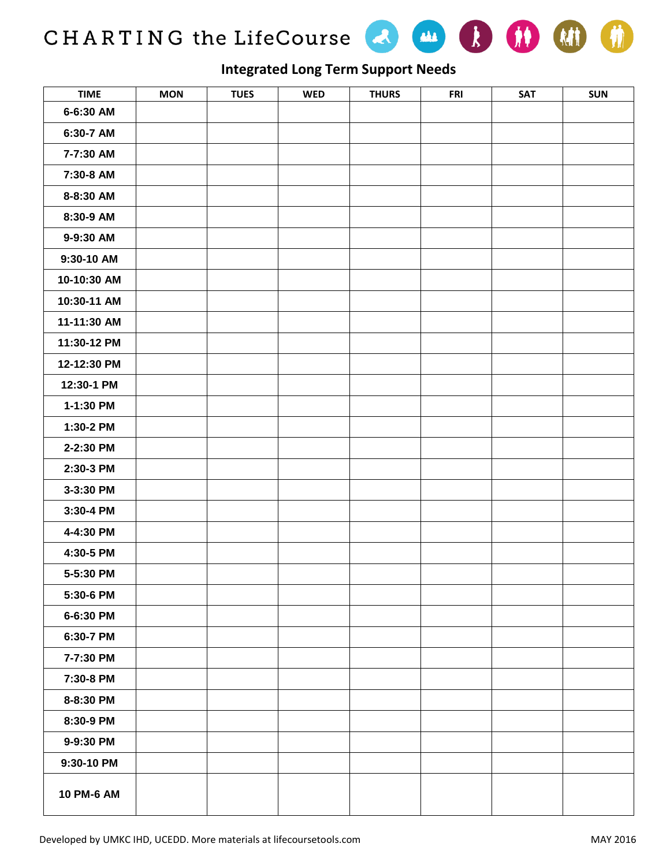CHARTING the LifeCourse & M B B H





## **Integrated Long Term Support Needs**

| <b>TIME</b> | <b>MON</b> | <b>TUES</b> | <b>WED</b> | <b>THURS</b> | <b>FRI</b> | <b>SAT</b> | <b>SUN</b> |
|-------------|------------|-------------|------------|--------------|------------|------------|------------|
| 6-6:30 AM   |            |             |            |              |            |            |            |
| 6:30-7 AM   |            |             |            |              |            |            |            |
| 7-7:30 AM   |            |             |            |              |            |            |            |
| 7:30-8 AM   |            |             |            |              |            |            |            |
| 8-8:30 AM   |            |             |            |              |            |            |            |
| 8:30-9 AM   |            |             |            |              |            |            |            |
| 9-9:30 AM   |            |             |            |              |            |            |            |
| 9:30-10 AM  |            |             |            |              |            |            |            |
| 10-10:30 AM |            |             |            |              |            |            |            |
| 10:30-11 AM |            |             |            |              |            |            |            |
| 11-11:30 AM |            |             |            |              |            |            |            |
| 11:30-12 PM |            |             |            |              |            |            |            |
| 12-12:30 PM |            |             |            |              |            |            |            |
| 12:30-1 PM  |            |             |            |              |            |            |            |
| 1-1:30 PM   |            |             |            |              |            |            |            |
| 1:30-2 PM   |            |             |            |              |            |            |            |
| 2-2:30 PM   |            |             |            |              |            |            |            |
| 2:30-3 PM   |            |             |            |              |            |            |            |
| 3-3:30 PM   |            |             |            |              |            |            |            |
| 3:30-4 PM   |            |             |            |              |            |            |            |
| 4-4:30 PM   |            |             |            |              |            |            |            |
| 4:30-5 PM   |            |             |            |              |            |            |            |
| 5-5:30 PM   |            |             |            |              |            |            |            |
| 5:30-6 PM   |            |             |            |              |            |            |            |
| 6-6:30 PM   |            |             |            |              |            |            |            |
| 6:30-7 PM   |            |             |            |              |            |            |            |
| 7-7:30 PM   |            |             |            |              |            |            |            |
| 7:30-8 PM   |            |             |            |              |            |            |            |
| 8-8:30 PM   |            |             |            |              |            |            |            |
| 8:30-9 PM   |            |             |            |              |            |            |            |
| 9-9:30 PM   |            |             |            |              |            |            |            |
| 9:30-10 PM  |            |             |            |              |            |            |            |
| 10 PM-6 AM  |            |             |            |              |            |            |            |